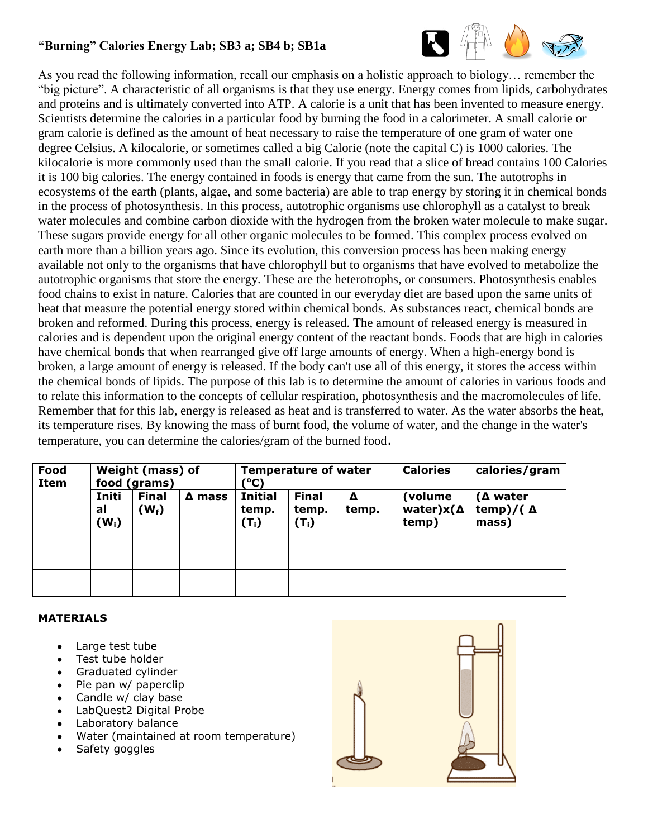## **"Burning" Calories Energy Lab; SB3 a; SB4 b; SB1a**



As you read the following information, recall our emphasis on a holistic approach to biology… remember the "big picture". A characteristic of all organisms is that they use energy. Energy comes from lipids, carbohydrates and proteins and is ultimately converted into ATP. A calorie is a unit that has been invented to measure energy. Scientists determine the calories in a particular food by burning the food in a calorimeter. A small calorie or gram calorie is defined as the amount of heat necessary to raise the temperature of one gram of water one degree Celsius. A kilocalorie, or sometimes called a big Calorie (note the capital C) is 1000 calories. The kilocalorie is more commonly used than the small calorie. If you read that a slice of bread contains 100 Calories it is 100 big calories. The energy contained in foods is energy that came from the sun. The autotrophs in ecosystems of the earth (plants, algae, and some bacteria) are able to trap energy by storing it in chemical bonds in the process of photosynthesis. In this process, autotrophic organisms use chlorophyll as a catalyst to break water molecules and combine carbon dioxide with the hydrogen from the broken water molecule to make sugar. These sugars provide energy for all other organic molecules to be formed. This complex process evolved on earth more than a billion years ago. Since its evolution, this conversion process has been making energy available not only to the organisms that have chlorophyll but to organisms that have evolved to metabolize the autotrophic organisms that store the energy. These are the heterotrophs, or consumers. Photosynthesis enables food chains to exist in nature. Calories that are counted in our everyday diet are based upon the same units of heat that measure the potential energy stored within chemical bonds. As substances react, chemical bonds are broken and reformed. During this process, energy is released. The amount of released energy is measured in calories and is dependent upon the original energy content of the reactant bonds. Foods that are high in calories have chemical bonds that when rearranged give off large amounts of energy. When a high-energy bond is broken, a large amount of energy is released. If the body can't use all of this energy, it stores the access within the chemical bonds of lipids. The purpose of this lab is to determine the amount of calories in various foods and to relate this information to the concepts of cellular respiration, photosynthesis and the macromolecules of life. Remember that for this lab, energy is released as heat and is transferred to water. As the water absorbs the heat, its temperature rises. By knowing the mass of burnt food, the volume of water, and the change in the water's temperature, you can determine the calories/gram of the burned food.

| Food<br>Item | Weight (mass) of<br>food (grams) |                         |               | <b>Temperature of water</b><br>(°C) |                                  |            | <b>Calories</b>                         | calories/gram                                |
|--------------|----------------------------------|-------------------------|---------------|-------------------------------------|----------------------------------|------------|-----------------------------------------|----------------------------------------------|
|              | Initi<br>al<br>$(W_i)$           | <b>Final</b><br>$(W_t)$ | $\Delta$ mass | <b>Initial</b><br>temp.<br>$(T_i)$  | <b>Final</b><br>temp.<br>$(T_i)$ | Δ<br>temp. | (volume)<br>water) $x(\Delta)$<br>temp) | $(\Delta$ water<br>temp)/( $\Delta$<br>mass) |
|              |                                  |                         |               |                                     |                                  |            |                                         |                                              |
|              |                                  |                         |               |                                     |                                  |            |                                         |                                              |
|              |                                  |                         |               |                                     |                                  |            |                                         |                                              |

## **MATERIALS**

- Large test tube
- Test tube holder
- Graduated cylinder
- Pie pan w/ paperclip
- Candle w/ clay base
- LabQuest2 Digital Probe
- Laboratory balance
- Water (maintained at room temperature)
- Safety goggles